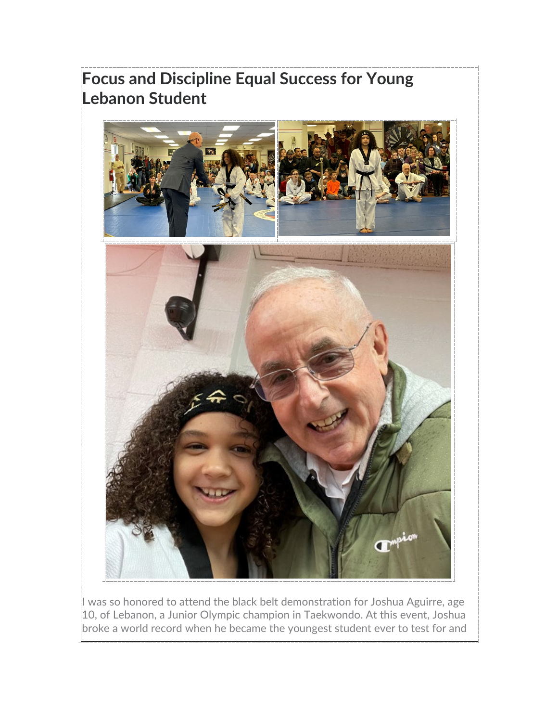# **Focus and Discipline Equal Success for Young Lebanon Student**



I was so honored to attend the black belt demonstration for Joshua Aguirre, age 10, of Lebanon, a Junior Olympic champion in Taekwondo. At this event, Joshua broke a world record when he became the youngest student ever to test for and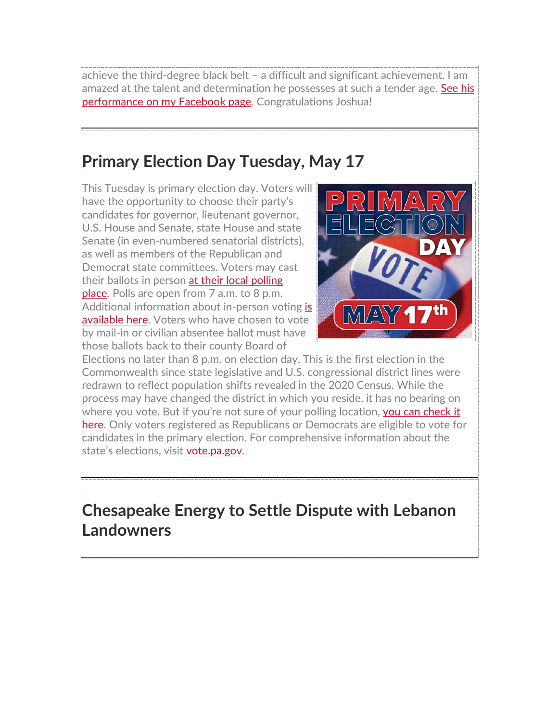achieve the third-degree black belt – a difficult and significant achievement. I am amazed at the talent and determination he possesses at such a tender age. See his [performance on my Facebook page.](https://www.facebook.com/RepFrankRyan) Congratulations Joshua!

### **Primary Election Day Tuesday, May 17**

This Tuesday is primary election day. Voters will have the opportunity to choose their party's candidates for governor, lieutenant governor, U.S. House and Senate, state House and state Senate (in even-numbered senatorial districts), as well as members of the Republican and Democrat state committees. Voters may cast their ballots in person at their local polling [place.](https://www.pavoterservices.pa.gov/Pages/PollingPlaceInfo.aspx) Polls are open from 7 a.m. to 8 p.m. Additional information about in-person voting is [available here.](https://www.vote.pa.gov/Voting-in-PA/Pages/Voting-at-a-Polling-Place.aspx) Voters who have chosen to vote by mail-in or civilian absentee ballot must have those ballots back to their county Board of



Elections no later than 8 p.m. on election day. This is the first election in the Commonwealth since state legislative and U.S. congressional district lines were redrawn to reflect population shifts revealed in the 2020 Census. While the process may have changed the district in which you reside, it has no bearing on where you vote. But if you're not sure of your polling location, you can check it [here.](https://www.pavoterservices.pa.gov/Pages/PollingPlaceInfo.aspx) Only voters registered as Republicans or Democrats are eligible to vote for candidates in the primary election. For comprehensive information about the state's elections, visit [vote.pa.gov.](https://www.vote.pa.gov/Pages/default.aspx)

**Chesapeake Energy to Settle Dispute with Lebanon Landowners**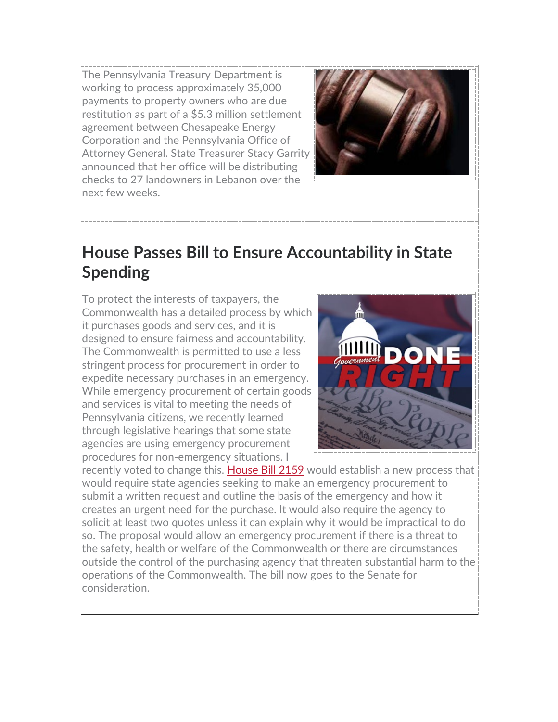The Pennsylvania Treasury Department is working to process approximately 35,000 payments to property owners who are due restitution as part of a \$5.3 million settlement agreement between Chesapeake Energy Corporation and the Pennsylvania Office of Attorney General. State Treasurer Stacy Garrity announced that her office will be distributing checks to 27 landowners in Lebanon over the next few weeks.



### **House Passes Bill to Ensure Accountability in State Spending**

To protect the interests of taxpayers, the Commonwealth has a detailed process by which it purchases goods and services, and it is designed to ensure fairness and accountability. The Commonwealth is permitted to use a less stringent process for procurement in order to expedite necessary purchases in an emergency. While emergency procurement of certain goods and services is vital to meeting the needs of Pennsylvania citizens, we recently learned through legislative hearings that some state agencies are using emergency procurement procedures for non-emergency situations. I



recently voted to change this. [House Bill 2159](https://www.legis.state.pa.us/cfdocs/billInfo/billInfo.cfm?sYear=2021&sInd=0&body=H&type=B&bn=2159) would establish a new process that would require state agencies seeking to make an emergency procurement to submit a written request and outline the basis of the emergency and how it creates an urgent need for the purchase. It would also require the agency to solicit at least two quotes unless it can explain why it would be impractical to do so. The proposal would allow an emergency procurement if there is a threat to the safety, health or welfare of the Commonwealth or there are circumstances outside the control of the purchasing agency that threaten substantial harm to the operations of the Commonwealth. The bill now goes to the Senate for consideration.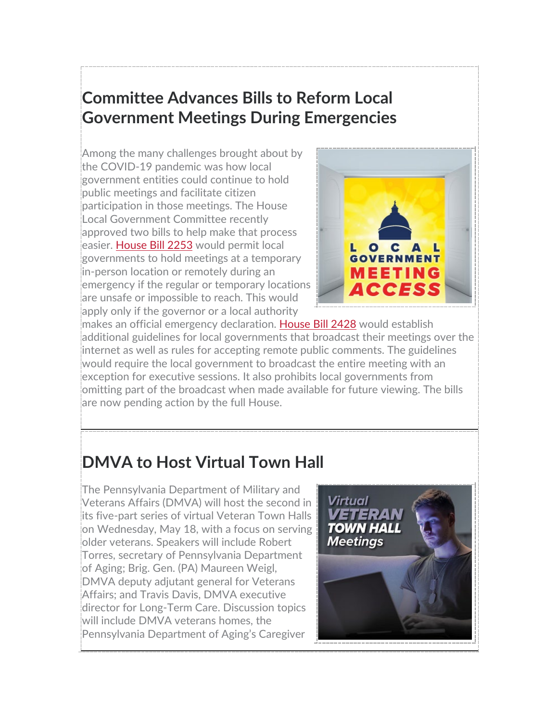## **Committee Advances Bills to Reform Local Government Meetings During Emergencies**

Among the many challenges brought about by the COVID-19 pandemic was how local government entities could continue to hold public meetings and facilitate citizen participation in those meetings. The House Local Government Committee recently approved two bills to help make that process easier. [House Bill 2253](https://www.legis.state.pa.us/cfdocs/billInfo/billInfo.cfm?sYear=2021&sInd=0&body=H&type=B&bn=2253) would permit local governments to hold meetings at a temporary in-person location or remotely during an emergency if the regular or temporary locations are unsafe or impossible to reach. This would apply only if the governor or a local authority



makes an official emergency declaration. [House Bill 2428](https://www.legis.state.pa.us/cfdocs/billInfo/billInfo.cfm?sYear=2021&sInd=0&body=H&type=B&bn=2428) would establish additional guidelines for local governments that broadcast their meetings over the internet as well as rules for accepting remote public comments. The guidelines would require the local government to broadcast the entire meeting with an exception for executive sessions. It also prohibits local governments from omitting part of the broadcast when made available for future viewing. The bills are now pending action by the full House.

# **DMVA to Host Virtual Town Hall**

The Pennsylvania Department of Military and Veterans Affairs (DMVA) will host the second in its five-part series of virtual Veteran Town Halls on Wednesday, May 18, with a focus on serving older veterans. Speakers will include Robert Torres, secretary of Pennsylvania Department of Aging; Brig. Gen. (PA) Maureen Weigl, DMVA deputy adjutant general for Veterans Affairs; and Travis Davis, DMVA executive director for Long-Term Care. Discussion topics will include DMVA veterans homes, the Pennsylvania Department of Aging's Caregiver

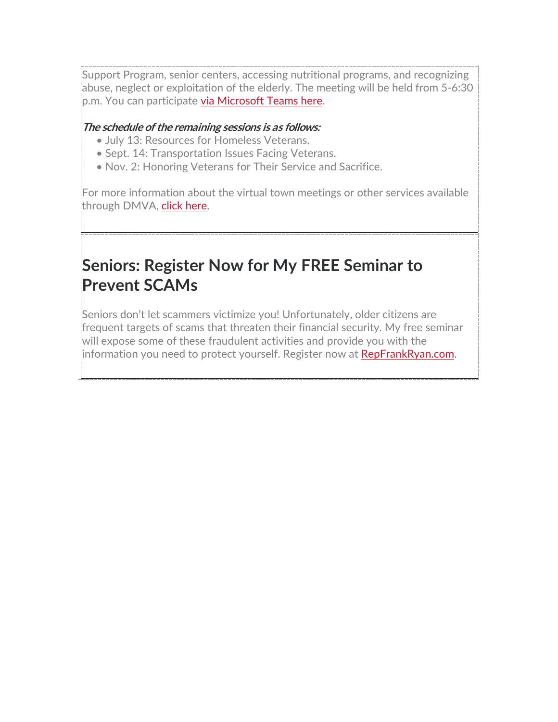Support Program, senior centers, accessing nutritional programs, and recognizing abuse, neglect or exploitation of the elderly. The meeting will be held from 5-6:30 p.m. You can participate [via Microsoft Teams here.](https://teams.microsoft.com/registration/QSiOQSgB1U2bbEf8Wpob3g,Rv1NBOltt0aEgOvqCQTzRA,GWxaRpcQ30KsJmzPhVMzGw,6MGNqwQ1aUWYmZuY_DplhQ,m0BgrPEJ0UKndfVXcVWC2w,IHGa6Yspmkah4xD-jlZAtg?mode=read&tenantId=418e2841-0128-4dd5-9b6c-47fc5a9a1bde&webinarRing=gcc)

#### **The schedule of the remaining sessions is as follows:**

- July 13: Resources for Homeless Veterans.
- Sept. 14: Transportation Issues Facing Veterans.
- Nov. 2: Honoring Veterans for Their Service and Sacrifice.

For more information about the virtual town meetings or other services available through DMVA, [click here.](https://www.dmva.pa.gov/Pages/default.aspx)

## **Seniors: Register Now for My FREE Seminar to Prevent SCAMs**

Seniors don't let scammers victimize you! Unfortunately, older citizens are frequent targets of scams that threaten their financial security. My free seminar will expose some of these fraudulent activities and provide you with the information you need to protect yourself. Register now at [RepFrankRyan.com.](https://www.repfrankryan.com/?fbclid=IwAR04bZf2l7aQS6qnpNuppy5guWmIj23r4s-k6zIf1rgUhOPr_rfvjvNUrS4)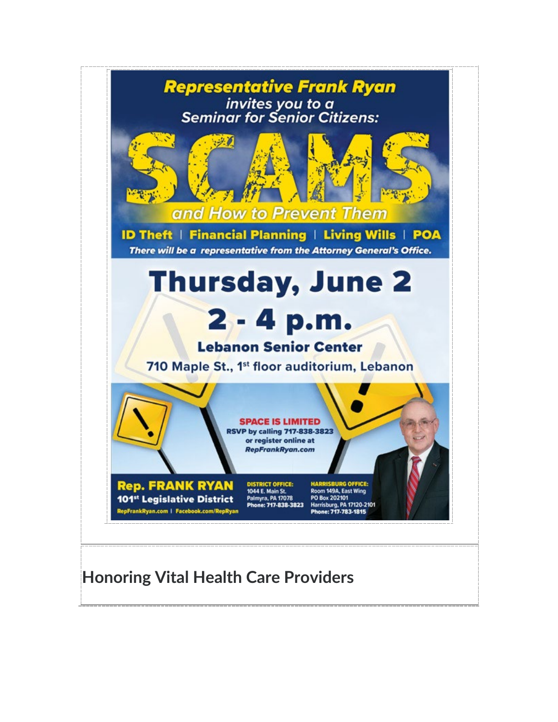

### **Honoring Vital Health Care Providers**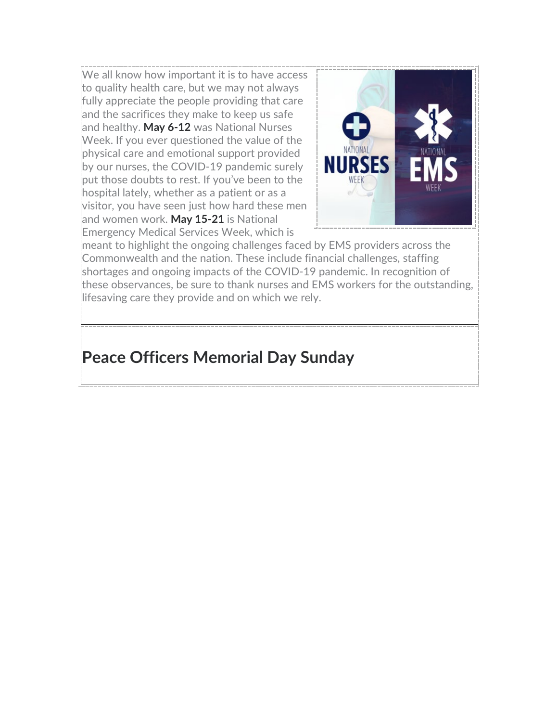We all know how important it is to have access to quality health care, but we may not always fully appreciate the people providing that care and the sacrifices they make to keep us safe and healthy. **May 6-12** was National Nurses Week. If you ever questioned the value of the physical care and emotional support provided by our nurses, the COVID-19 pandemic surely put those doubts to rest. If you've been to the hospital lately, whether as a patient or as a visitor, you have seen just how hard these men and women work. **May 15-21** is National Emergency Medical Services Week, which is



meant to highlight the ongoing challenges faced by EMS providers across the Commonwealth and the nation. These include financial challenges, staffing shortages and ongoing impacts of the COVID-19 pandemic. In recognition of these observances, be sure to thank nurses and EMS workers for the outstanding, lifesaving care they provide and on which we rely.

### **Peace Officers Memorial Day Sunday**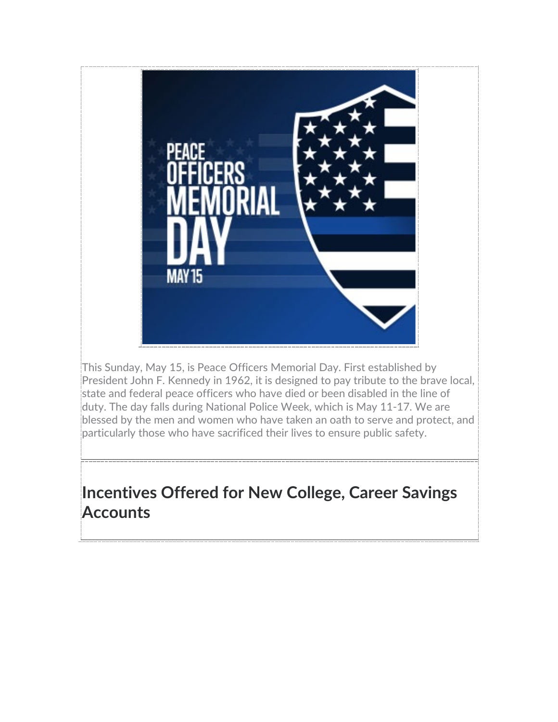

This Sunday, May 15, is Peace Officers Memorial Day. First established by President John F. Kennedy in 1962, it is designed to pay tribute to the brave local, state and federal peace officers who have died or been disabled in the line of duty. The day falls during National Police Week, which is May 11-17. We are blessed by the men and women who have taken an oath to serve and protect, and particularly those who have sacrificed their lives to ensure public safety.

## **Incentives Offered for New College, Career Savings Accounts**